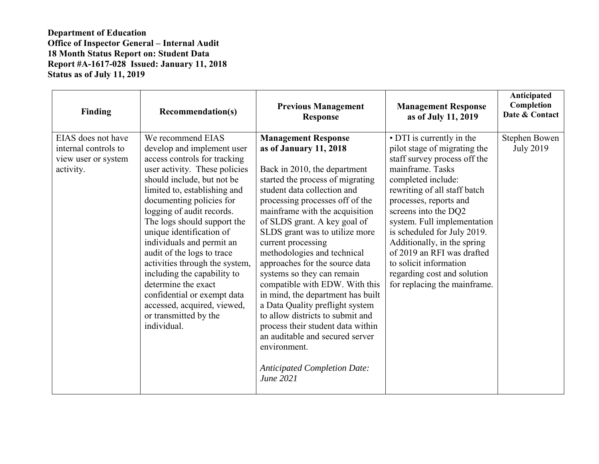| Finding                                                                        | <b>Recommendation(s)</b>                                                                                                                                                                                                                                                                                                                                                                                                                                                                                                                                    | <b>Previous Management</b><br><b>Response</b>                                                                                                                                                                                                                                                                                                                                                                                                                                                                                                                                                                                                                                                                 | <b>Management Response</b><br>as of July 11, 2019                                                                                                                                                                                                                                                                                                                                                                                         | Anticipated<br>Completion<br>Date & Contact |
|--------------------------------------------------------------------------------|-------------------------------------------------------------------------------------------------------------------------------------------------------------------------------------------------------------------------------------------------------------------------------------------------------------------------------------------------------------------------------------------------------------------------------------------------------------------------------------------------------------------------------------------------------------|---------------------------------------------------------------------------------------------------------------------------------------------------------------------------------------------------------------------------------------------------------------------------------------------------------------------------------------------------------------------------------------------------------------------------------------------------------------------------------------------------------------------------------------------------------------------------------------------------------------------------------------------------------------------------------------------------------------|-------------------------------------------------------------------------------------------------------------------------------------------------------------------------------------------------------------------------------------------------------------------------------------------------------------------------------------------------------------------------------------------------------------------------------------------|---------------------------------------------|
| EIAS does not have<br>internal controls to<br>view user or system<br>activity. | We recommend EIAS<br>develop and implement user<br>access controls for tracking<br>user activity. These policies<br>should include, but not be<br>limited to, establishing and<br>documenting policies for<br>logging of audit records.<br>The logs should support the<br>unique identification of<br>individuals and permit an<br>audit of the logs to trace<br>activities through the system,<br>including the capability to<br>determine the exact<br>confidential or exempt data<br>accessed, acquired, viewed,<br>or transmitted by the<br>individual. | <b>Management Response</b><br>as of January 11, 2018<br>Back in 2010, the department<br>started the process of migrating<br>student data collection and<br>processing processes off of the<br>mainframe with the acquisition<br>of SLDS grant. A key goal of<br>SLDS grant was to utilize more<br>current processing<br>methodologies and technical<br>approaches for the source data<br>systems so they can remain<br>compatible with EDW. With this<br>in mind, the department has built<br>a Data Quality preflight system<br>to allow districts to submit and<br>process their student data within<br>an auditable and secured server<br>environment.<br><b>Anticipated Completion Date:</b><br>June 2021 | • DTI is currently in the<br>pilot stage of migrating the<br>staff survey process off the<br>mainframe. Tasks<br>completed include:<br>rewriting of all staff batch<br>processes, reports and<br>screens into the DQ2<br>system. Full implementation<br>is scheduled for July 2019.<br>Additionally, in the spring<br>of 2019 an RFI was drafted<br>to solicit information<br>regarding cost and solution<br>for replacing the mainframe. | Stephen Bowen<br><b>July 2019</b>           |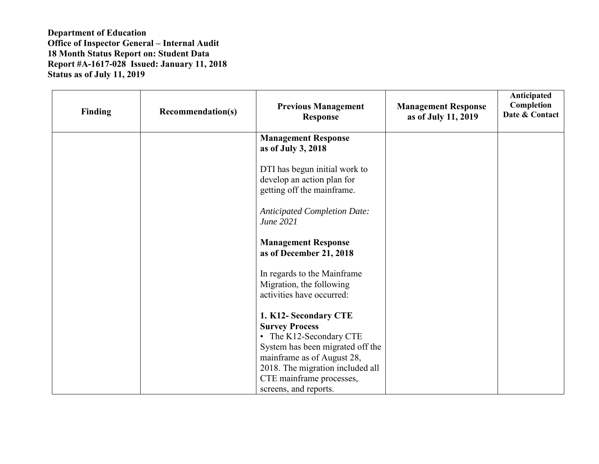| Finding | <b>Recommendation(s)</b> | <b>Previous Management</b><br><b>Response</b>                                                                                  | <b>Management Response</b><br>as of July 11, 2019 | Anticipated<br>Completion<br>Date & Contact |
|---------|--------------------------|--------------------------------------------------------------------------------------------------------------------------------|---------------------------------------------------|---------------------------------------------|
|         |                          | <b>Management Response</b><br>as of July 3, 2018                                                                               |                                                   |                                             |
|         |                          | DTI has begun initial work to<br>develop an action plan for<br>getting off the mainframe.                                      |                                                   |                                             |
|         |                          | <b>Anticipated Completion Date:</b><br>June 2021                                                                               |                                                   |                                             |
|         |                          | <b>Management Response</b><br>as of December 21, 2018                                                                          |                                                   |                                             |
|         |                          | In regards to the Mainframe<br>Migration, the following<br>activities have occurred:                                           |                                                   |                                             |
|         |                          | 1. K12- Secondary CTE<br><b>Survey Process</b><br>• The K12-Secondary CTE                                                      |                                                   |                                             |
|         |                          | System has been migrated off the<br>mainframe as of August 28,<br>2018. The migration included all<br>CTE mainframe processes, |                                                   |                                             |
|         |                          | screens, and reports.                                                                                                          |                                                   |                                             |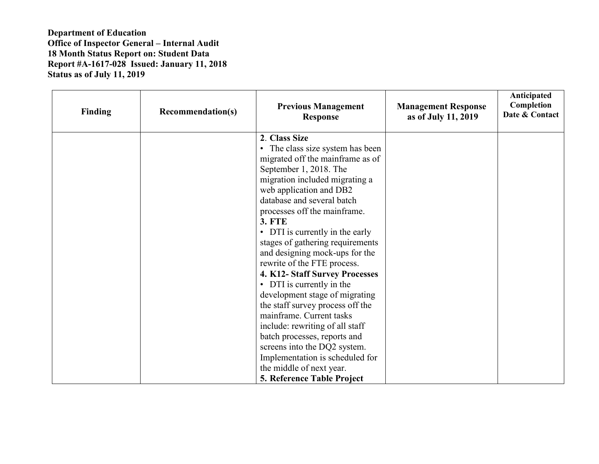| Finding | <b>Recommendation(s)</b> | <b>Previous Management</b><br><b>Response</b>                                                                                                                                                                                                                                                                                                                                                                                                                                                                                                                                                                                                                                                                                                                        | <b>Management Response</b><br>as of July 11, 2019 | Anticipated<br>Completion<br>Date & Contact |
|---------|--------------------------|----------------------------------------------------------------------------------------------------------------------------------------------------------------------------------------------------------------------------------------------------------------------------------------------------------------------------------------------------------------------------------------------------------------------------------------------------------------------------------------------------------------------------------------------------------------------------------------------------------------------------------------------------------------------------------------------------------------------------------------------------------------------|---------------------------------------------------|---------------------------------------------|
|         |                          | 2. Class Size<br>• The class size system has been<br>migrated off the mainframe as of<br>September 1, 2018. The<br>migration included migrating a<br>web application and DB2<br>database and several batch<br>processes off the mainframe.<br><b>3. FTE</b><br>• DTI is currently in the early<br>stages of gathering requirements<br>and designing mock-ups for the<br>rewrite of the FTE process.<br>4. K12- Staff Survey Processes<br>• DTI is currently in the<br>development stage of migrating<br>the staff survey process off the<br>mainframe. Current tasks<br>include: rewriting of all staff<br>batch processes, reports and<br>screens into the DQ2 system.<br>Implementation is scheduled for<br>the middle of next year.<br>5. Reference Table Project |                                                   |                                             |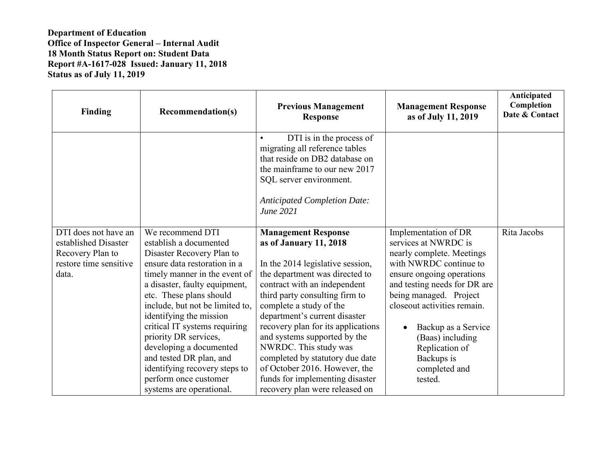| <b>Finding</b>                                                                                      | <b>Recommendation(s)</b>                                                                                                                                                                                                                                                                                                                                                                                                                                                 | <b>Previous Management</b><br><b>Response</b>                                                                                                                                                                                                                                                                                                                                                                                                                                                    | <b>Management Response</b><br>as of July 11, 2019                                                                                                                                                                                                                                                                                             | Anticipated<br>Completion<br>Date & Contact |
|-----------------------------------------------------------------------------------------------------|--------------------------------------------------------------------------------------------------------------------------------------------------------------------------------------------------------------------------------------------------------------------------------------------------------------------------------------------------------------------------------------------------------------------------------------------------------------------------|--------------------------------------------------------------------------------------------------------------------------------------------------------------------------------------------------------------------------------------------------------------------------------------------------------------------------------------------------------------------------------------------------------------------------------------------------------------------------------------------------|-----------------------------------------------------------------------------------------------------------------------------------------------------------------------------------------------------------------------------------------------------------------------------------------------------------------------------------------------|---------------------------------------------|
|                                                                                                     |                                                                                                                                                                                                                                                                                                                                                                                                                                                                          | DTI is in the process of<br>migrating all reference tables<br>that reside on DB2 database on<br>the mainframe to our new 2017<br>SQL server environment.<br><b>Anticipated Completion Date:</b><br>June 2021                                                                                                                                                                                                                                                                                     |                                                                                                                                                                                                                                                                                                                                               |                                             |
| DTI does not have an<br>established Disaster<br>Recovery Plan to<br>restore time sensitive<br>data. | We recommend DTI<br>establish a documented<br>Disaster Recovery Plan to<br>ensure data restoration in a<br>timely manner in the event of<br>a disaster, faulty equipment,<br>etc. These plans should<br>include, but not be limited to,<br>identifying the mission<br>critical IT systems requiring<br>priority DR services,<br>developing a documented<br>and tested DR plan, and<br>identifying recovery steps to<br>perform once customer<br>systems are operational. | <b>Management Response</b><br>as of January 11, 2018<br>In the 2014 legislative session,<br>the department was directed to<br>contract with an independent<br>third party consulting firm to<br>complete a study of the<br>department's current disaster<br>recovery plan for its applications<br>and systems supported by the<br>NWRDC. This study was<br>completed by statutory due date<br>of October 2016. However, the<br>funds for implementing disaster<br>recovery plan were released on | Implementation of DR<br>services at NWRDC is<br>nearly complete. Meetings<br>with NWRDC continue to<br>ensure ongoing operations<br>and testing needs for DR are<br>being managed. Project<br>closeout activities remain.<br>Backup as a Service<br>$\bullet$<br>(Baas) including<br>Replication of<br>Backups is<br>completed and<br>tested. | Rita Jacobs                                 |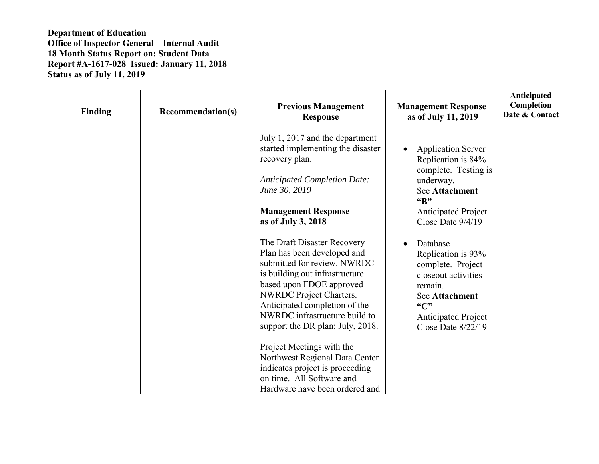| <b>Finding</b> | <b>Recommendation(s)</b> | <b>Previous Management</b><br><b>Response</b>                                                                                 | <b>Management Response</b><br>as of July 11, 2019                                                 | Anticipated<br>Completion<br>Date & Contact |
|----------------|--------------------------|-------------------------------------------------------------------------------------------------------------------------------|---------------------------------------------------------------------------------------------------|---------------------------------------------|
|                |                          | July 1, 2017 and the department<br>started implementing the disaster<br>recovery plan.<br><b>Anticipated Completion Date:</b> | <b>Application Server</b><br>$\bullet$<br>Replication is 84%<br>complete. Testing is<br>underway. |                                             |
|                |                          | June 30, 2019<br><b>Management Response</b>                                                                                   | <b>See Attachment</b><br>"B"<br><b>Anticipated Project</b><br>Close Date $9/4/19$                 |                                             |
|                |                          | as of July 3, 2018<br>The Draft Disaster Recovery<br>Plan has been developed and                                              | Database<br>$\bullet$<br>Replication is 93%                                                       |                                             |
|                |                          | submitted for review. NWRDC<br>is building out infrastructure<br>based upon FDOE approved<br><b>NWRDC</b> Project Charters.   | complete. Project<br>closeout activities<br>remain.                                               |                                             |
|                |                          | Anticipated completion of the<br>NWRDC infrastructure build to<br>support the DR plan: July, 2018.                            | See Attachment<br>$\mathcal{C}$<br><b>Anticipated Project</b><br>Close Date $8/22/19$             |                                             |
|                |                          | Project Meetings with the<br>Northwest Regional Data Center<br>indicates project is proceeding                                |                                                                                                   |                                             |
|                |                          | on time. All Software and<br>Hardware have been ordered and                                                                   |                                                                                                   |                                             |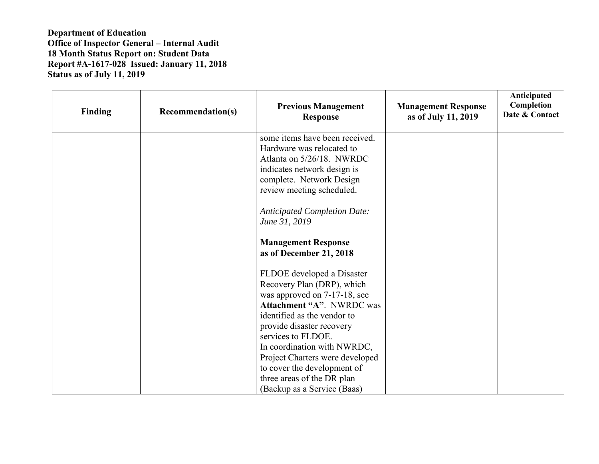| <b>Finding</b> | <b>Recommendation(s)</b> | <b>Previous Management</b><br><b>Response</b>                                                   | <b>Management Response</b><br>as of July 11, 2019 | Anticipated<br>Completion<br>Date & Contact |
|----------------|--------------------------|-------------------------------------------------------------------------------------------------|---------------------------------------------------|---------------------------------------------|
|                |                          | some items have been received.<br>Hardware was relocated to<br>Atlanta on 5/26/18. NWRDC        |                                                   |                                             |
|                |                          | indicates network design is<br>complete. Network Design<br>review meeting scheduled.            |                                                   |                                             |
|                |                          | <b>Anticipated Completion Date:</b><br>June 31, 2019                                            |                                                   |                                             |
|                |                          | <b>Management Response</b><br>as of December 21, 2018                                           |                                                   |                                             |
|                |                          | FLDOE developed a Disaster<br>Recovery Plan (DRP), which                                        |                                                   |                                             |
|                |                          | was approved on 7-17-18, see<br><b>Attachment "A". NWRDC was</b><br>identified as the vendor to |                                                   |                                             |
|                |                          | provide disaster recovery<br>services to FLDOE.                                                 |                                                   |                                             |
|                |                          | In coordination with NWRDC,<br>Project Charters were developed<br>to cover the development of   |                                                   |                                             |
|                |                          | three areas of the DR plan<br>(Backup as a Service (Baas)                                       |                                                   |                                             |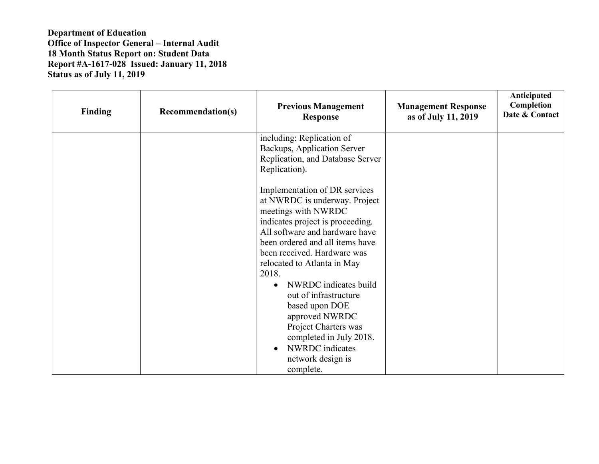| <b>Finding</b> | <b>Recommendation(s)</b> | <b>Previous Management</b><br><b>Response</b>                                                                                                                                                                                                                                                                                             | <b>Management Response</b><br>as of July 11, 2019 | Anticipated<br>Completion<br>Date & Contact |
|----------------|--------------------------|-------------------------------------------------------------------------------------------------------------------------------------------------------------------------------------------------------------------------------------------------------------------------------------------------------------------------------------------|---------------------------------------------------|---------------------------------------------|
|                |                          | including: Replication of<br>Backups, Application Server<br>Replication, and Database Server<br>Replication).                                                                                                                                                                                                                             |                                                   |                                             |
|                |                          | Implementation of DR services<br>at NWRDC is underway. Project<br>meetings with NWRDC<br>indicates project is proceeding.<br>All software and hardware have<br>been ordered and all items have<br>been received. Hardware was<br>relocated to Atlanta in May<br>2018.<br>NWRDC indicates build<br>out of infrastructure<br>based upon DOE |                                                   |                                             |
|                |                          | approved NWRDC<br>Project Charters was<br>completed in July 2018.<br>NWRDC indicates<br>network design is<br>complete.                                                                                                                                                                                                                    |                                                   |                                             |